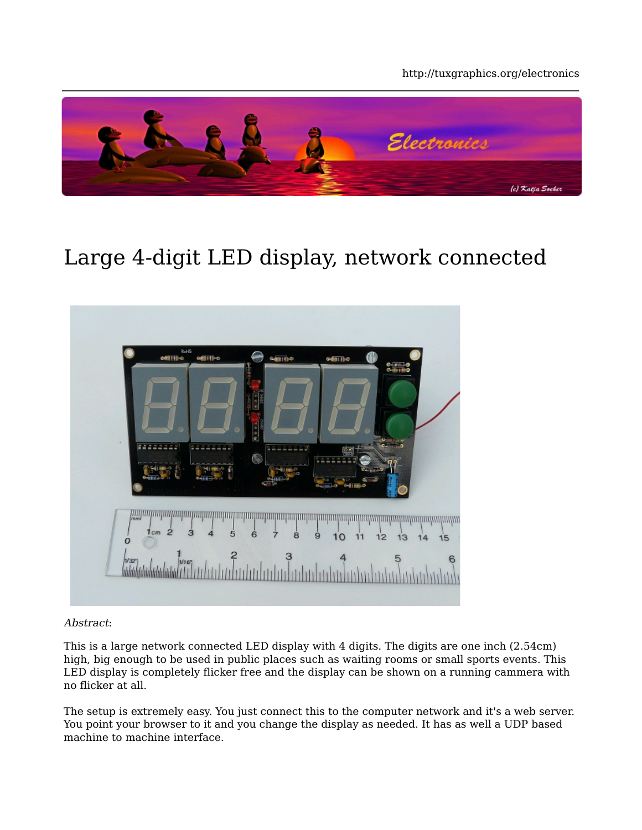http://tuxgraphics.org/electronics



# Large 4-digit LED display, network connected



#### Abstract:

This is a large network connected LED display with 4 digits. The digits are one inch (2.54cm) high, big enough to be used in public places such as waiting rooms or small sports events. This LED display is completely flicker free and the display can be shown on a running cammera with no flicker at all.

The setup is extremely easy. You just connect this to the computer network and it's a web server. You point your browser to it and you change the display as needed. It has as well a UDP based machine to machine interface.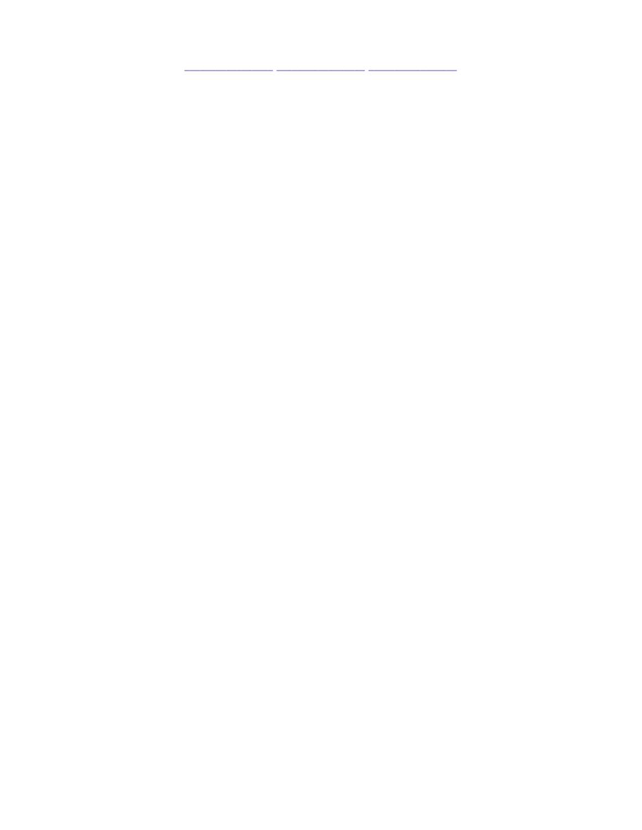- -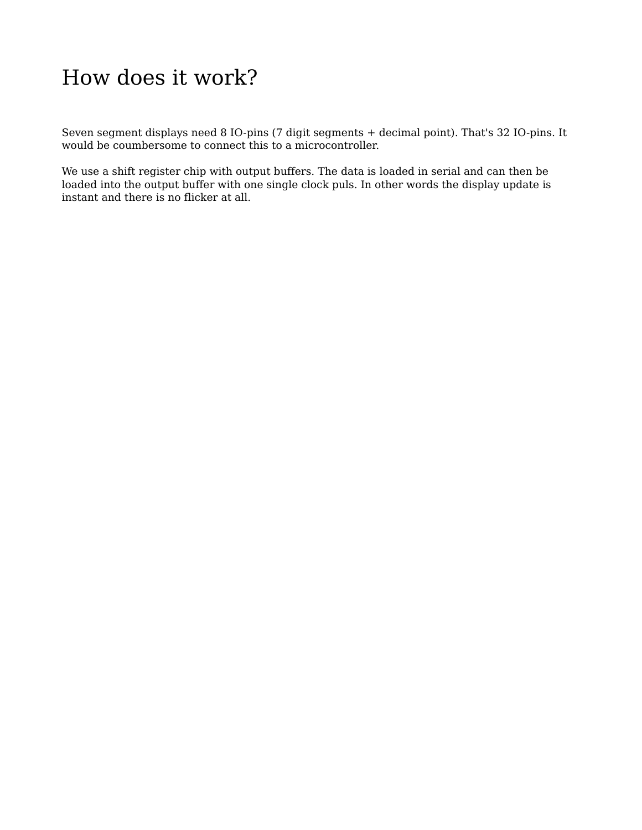## How does it work?

Seven segment displays need 8 IO-pins (7 digit segments + decimal point). That's 32 IO-pins. It would be coumbersome to connect this to a microcontroller.

We use a shift register chip with output buffers. The data is loaded in serial and can then be loaded into the output buffer with one single clock puls. In other words the display update is instant and there is no flicker at all.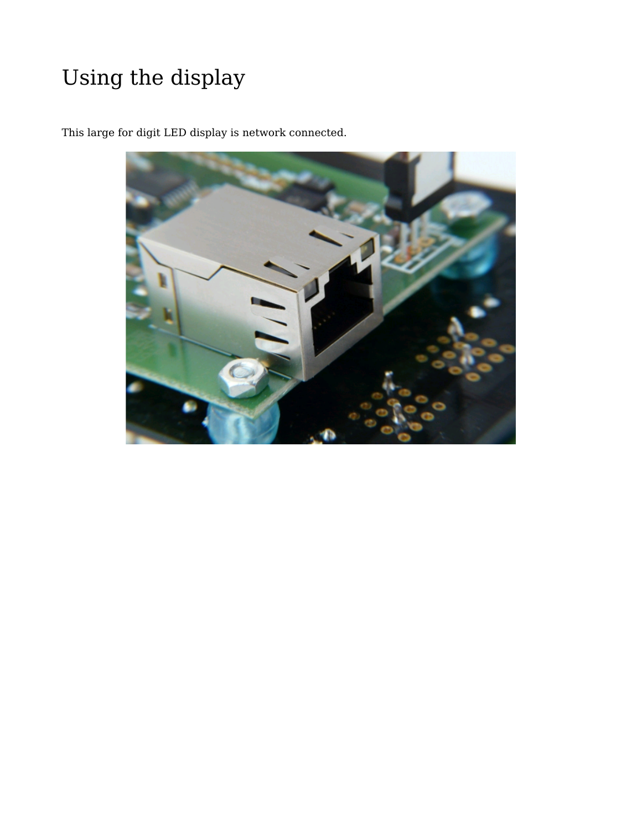# Using the display

This large for digit LED display is network connected.

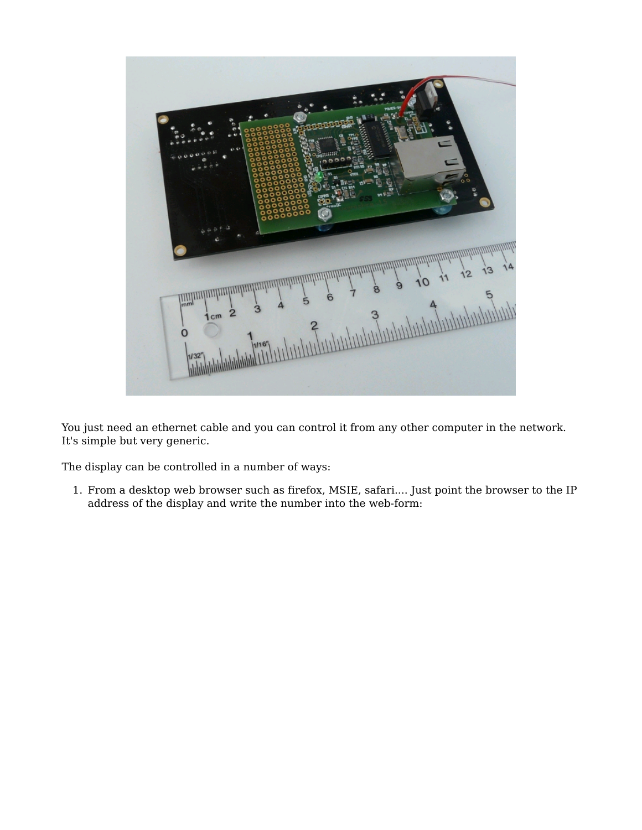

You just need an ethernet cable and you can control it from any other computer in the network. It's simple but very generic.

The display can be controlled in a number of ways:

1. From a desktop web browser such as firefox, MSIE, safari.... Just point the browser to the IP address of the display and write the number into the web-form: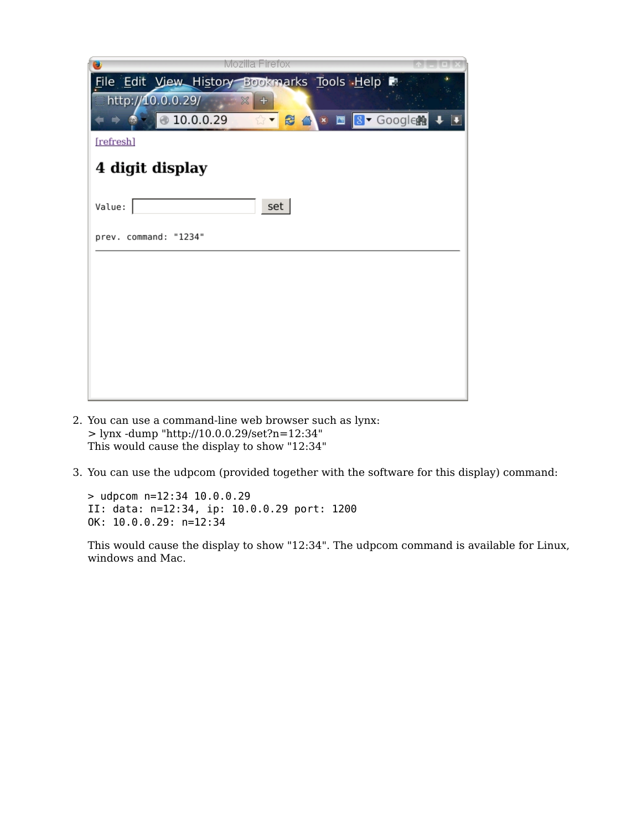| Mozilla Firefox<br>$\bullet$                                                                           |
|--------------------------------------------------------------------------------------------------------|
| File Edit View History Bookmarks Tools Help                                                            |
| http://10.0.0.29/<br>$\frac{1}{2}$                                                                     |
| 0.10.0.0.29<br><mark>△ 3 Ⅲ 8 ▼ Google船</mark><br>$\mathbb{Z}$<br>$+$ $+$<br>$\blacktriangledown$<br>53 |
| [refresh]                                                                                              |
| 4 digit display                                                                                        |
| set<br>Value:                                                                                          |
| prev. command: "1234"                                                                                  |
|                                                                                                        |
|                                                                                                        |
|                                                                                                        |
|                                                                                                        |
|                                                                                                        |
|                                                                                                        |
|                                                                                                        |

- 2. You can use a command-line web browser such as lynx: > lynx -dump "http://10.0.0.29/set?n=12:34" This would cause the display to show "12:34"
- 3. You can use the udpcom (provided together with the software for this display) command:

> udpcom n=12:34 10.0.0.29 II: data: n=12:34, ip: 10.0.0.29 port: 1200 OK: 10.0.0.29: n=12:34

This would cause the display to show "12:34". The udpcom command is available for Linux, windows and Mac.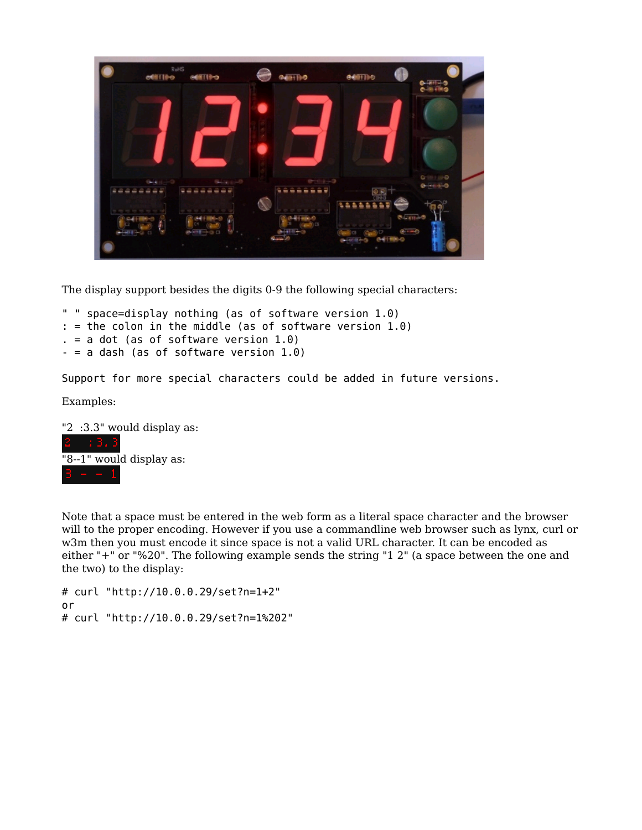

The display support besides the digits 0-9 the following special characters:

```
" " space=display nothing (as of software version 1.0)
: = the colon in the middle (as of software version 1.0)
```
- $. = a$  dot (as of software version  $1.0$ )
- $-$  = a dash (as of software version 1.0)

Support for more special characters could be added in future versions.

Examples:



Note that a space must be entered in the web form as a literal space character and the browser will to the proper encoding. However if you use a commandline web browser such as lynx, curl or w3m then you must encode it since space is not a valid URL character. It can be encoded as either "+" or "%20". The following example sends the string "1 2" (a space between the one and the two) to the display:

# curl "http://10.0.0.29/set?n=1+2" or # curl "http://10.0.0.29/set?n=1%202"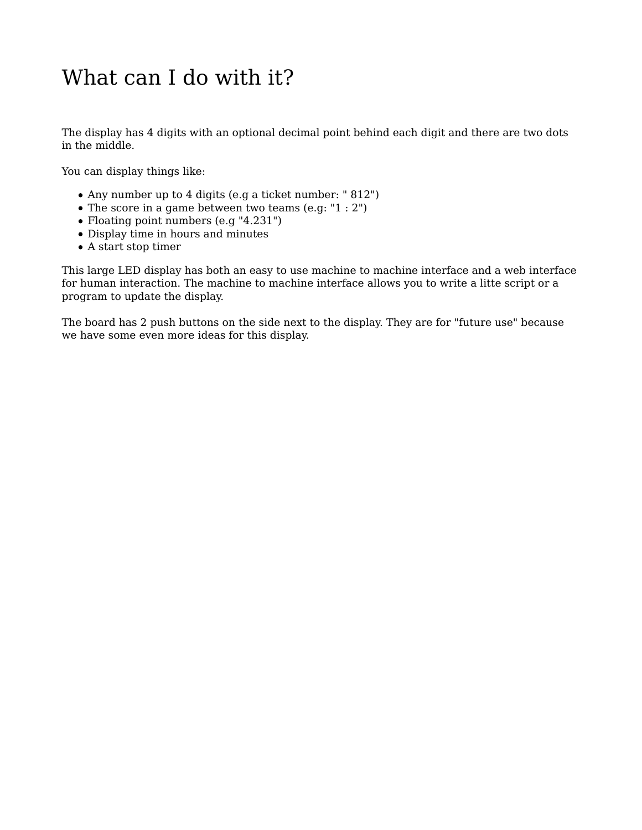# What can I do with it?

The display has 4 digits with an optional decimal point behind each digit and there are two dots in the middle.

You can display things like:

- Any number up to 4 digits (e.g a ticket number: " 812")
- The score in a game between two teams (e.g: "1 : 2")
- Floating point numbers (e.g "4.231")
- Display time in hours and minutes
- A start stop timer

This large LED display has both an easy to use machine to machine interface and a web interface for human interaction. The machine to machine interface allows you to write a litte script or a program to update the display.

The board has 2 push buttons on the side next to the display. They are for "future use" because we have some even more ideas for this display.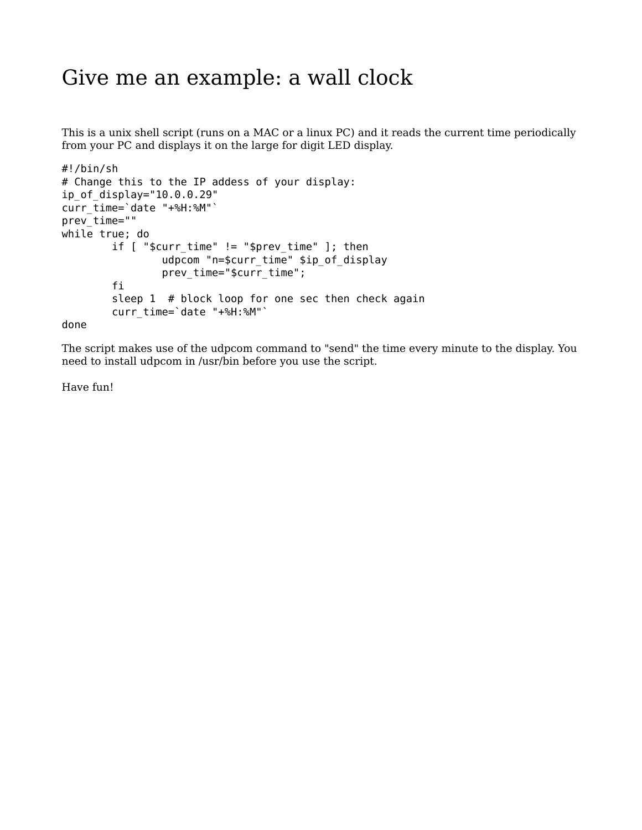### Give me an example: a wall clock

This is a unix shell script (runs on a MAC or a linux PC) and it reads the current time periodically from your PC and displays it on the large for digit LED display.

```
#!/bin/sh
# Change this to the IP addess of your display:
ip_of_display="10.0.0.29"
curr_time=`date "+%H:%M"`
prev_time=""
while true; do
         if [ "$curr_time" != "$prev_time" ]; then
                 udpcom "n=$curr_time" $ip_of_display
                prev_time="$curr_time";
         fi
        sleep 1 # block loop for one sec then check again
        curr time=`date "+%H:%M"`
done
```
The script makes use of the udpcom command to "send" the time every minute to the display. You need to install udpcom in /usr/bin before you use the script.

Have fun!